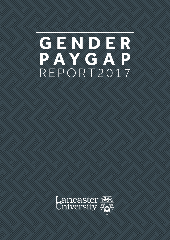



**1** | GENDER PAY GAP REPORT 2018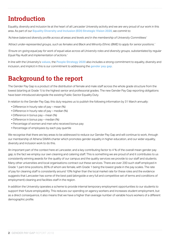# **Introduction**

Equality, diversity and inclusion lie at the heart of all Lancaster University activity and we are very proud of our work in this area. As part of our **[Equality Diversity and Inclusion \(EDI\) Strategic Vision 2020](http://www.lancaster.ac.uk/media/lancaster-university/content-assets/images/athena-swan/StrategicVision2020-CURRENT.pdf)**, we commit to:

*'Achieve balanced diversity profile across all areas and levels and in the membership of University Committees'*

*'Attract under-represented groups, such as females and Black and Minority Ethnic (BME) to apply for senior positions.'*

*'Ensure on-going equal pay for work of equal value across all University roles and diversity groups, substantiated by regular Equal Pay Audit and implementation of actions.'*

In line with the University's **[values](http://www.lancaster.ac.uk/media/lancaster-university/content-assets/documents/about-us/strategic-plan.pdf)**, the **[People Strategy 2020](http://www.lancaster.ac.uk/hr/people-strategy/OurPeopleStrategy2014.pdf)** also includes a strong commitment to equality, diversity and inclusion, and implicit in this is our commitment to addressing the **[gender pay gap](https://www.gov.uk/guidance/gender-pay-gap-reporting-overview#mandatory-gender-pay-gap-reporting)**.

# **Background to the report**

The Gender Pay Gap is a product of the distribution of female and male staff across the whole grade structure from the lowest (starting at Grade 1) to the highest senior and professorial grades. The new Gender Pay Gap reporting obligations have been introduced alongside the existing Public Sector Equality Duty.

In relation to the Gender Pay Gap, this duty requires us to publish the following information by 31 March annually:

- Difference in hourly rate of pay mean (%)
- Difference in hourly rate of pay median (%)
- Difference in bonus pay mean (%)
- Difference in bonus pay median (%)
- Percentage of women and men who received bonus pay
- Percentage of employees by each pay quartile

We recognise that there are key areas to be addressed to reduce our Gender Pay Gap and will continue to work, through our membership of Athena SWAN charter which promotes gender equality in higher education, and our wider equality, diversity and inclusion work to do this.

An important part of the context here at Lancaster, and a key contributing factor to 4 % of the overall mean gender pay gap, is the fact we employ our own cleaning and catering staff. This is something we are proud of and it contributes to us consistently winning awards for the quality of our campus and the quality services we provide to our staff and students. Many other universities and local organisations contract out these services. There are over 200 such staff employed in Grade 1 part-time positions, 85% of whom are female, with Grade 1 being the lowest grade in the pay scales. The rate of pay for cleaning staff is consistently around 10% higher than the local market rate for these roles and the evidence suggests that Lancaster has some of the best paid (alongside a very full and competitive set of terms and conditions of employment) cleaning and facilities staff in the region.

In addition the University operates a scheme to provide internal temporary employment opportunities to our students to support their future employability. This reduces our spending on agency workers and increases student employment, but as a direct consequence, it also means that we have a higher than average number of variable hours workers of a different demographic profile.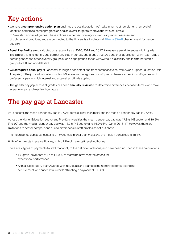# **Key actions**

- We have a **comprehensive action plan** outlining the positive action we'll take in terms of recruitment, removal of identified barriers to career progression and an overall target to improve the ratio of Female to Male staff across all grades. These actions are derived from rigorous equality impact assessment of policies and practices, and are connected to the University's institutional **[Athena SWAN](http://www.lancaster.ac.uk/edi/diversity-groups/gender-equality/awards-at-lancaster/)** charter award for gender equality.
- **Equal Pay Audits** are conducted on a regular basis (2010, 2014 and 2017) to measure pay differences within grade. The aim of this is to identify and correct any bias in our pay and grade structures and their application within each grade across gender and other diversity groups such as age groups, those with/without a disability and in different ethnic groups for UK and non-UK staff.
- We **safeguard equal pay** at Lancaster through a consistent and transparent analytical framework: Higher Education Role Analysis (HERA) job evaluation for [Grades 1-9](http://www.lancaster.ac.uk/hr/total-reward/local/NewGrade2017August.pdf) (across all categories of staff), and schemes for senior staff grades and professorial pay, in which internal and external scrutiny is applied.
- The gender pay gap across all grades has been **annually reviewed** to determine differences between female and male average (mean and median) hourly pay.

## **The pay gap at Lancaster**

At Lancaster, the mean gender pay gap is 27.7% (female lower than male) and the median gender pay gap is 26.5%.

Across the Higher Education sector and Pre-92 universities the mean gender pay gap was 17.8% (HE sector) and 19.2% (Pre-92) and the median gender pay gap was 13.7% (HE sector) and 16.2% (Pre-92). in 2016-17. However, there are limitations to sector comparisons due to differences in staff profiles as set out above.

The mean bonus gap at Lancaster is 21.5% (female higher than male) and the median bonus gap is 48.1%.

6.1% of female staff received bonus, whilst 2.7% of male staff received bonus.

There are 2 types of payments to staff that apply to the definition of bonus, and have been included in these calculations:

- 'Ex-gratia' payments of up to £1,000 to staff who have met the criteria for exceptional performance.
- Annual Celebratory Staff Awards, with individuals and teams being nominated for outstanding achievement, and successful awards attracting a payment of £1,000.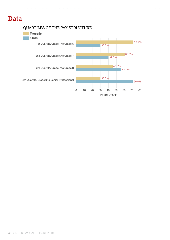# **Data**

#### QUARTILES OF THE PAY STRUCTURE

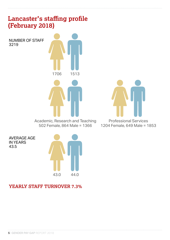### **Lancaster's staffing profile (February 2018)**

NUMBER OF STAFF 3219



Academic, Research and Teaching 502 Female, 864 Male = 1366



Professional Services 1204 Female, 649 Male = 1853

AVERAGE AGE IN YEARS 43.5



**YEARLY STAFF TURNOVER 7.3%**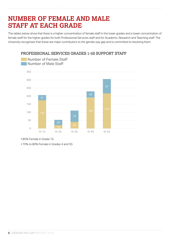## **NUMBER OF FEMALE AND MALE STAFF AT EACH GRADE**

The tables below show that there is a higher concentration of female staff in the lower grades and a lower concentration of female staff for the higher grades for both Professional Services staff and for Academic, Research and Teaching staff. The University recognises that these are major contributors to the gender pay gap and is committed to resolving them.



#### PROFESSIONAL SERVICES GRADES 1-5S SUPPORT STAFF

• 85% Female in Grade 1S

• 70% to 80% Female in Grades 4 and 5S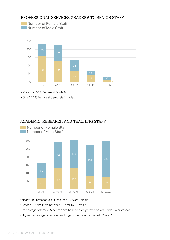

#### PROFESSIONAL SERVICES GRADES 6 TO SENIOR STAFF

• More than 50% Female at Grade 9

• Only 22.7% Female at Senior staff grades

Number of Female Staff





• Nearly 300 professors, but less than 25% are Female

• Grades 6, 7 and 8 are between 42 and 46% Female

- Percentage of female Academic and Research-only staff drops at Grade 9 & professor
- Higher percentage of female Teaching-focused staff, especially Grade 7